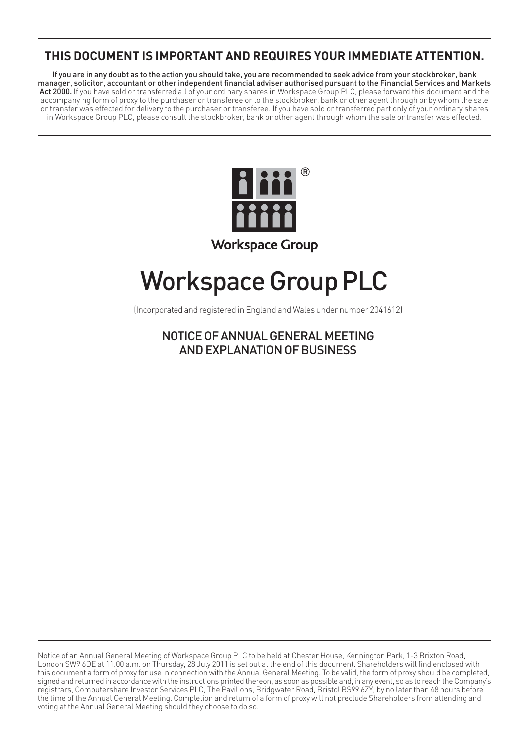# **THIS DOCUMENT IS IMPORTANT AND REQUIRES YOUR IMMEDIATE ATTENTION.**

If you are in any doubt as to the action you should take, you are recommended to seek advice from your stockbroker, bank manager, solicitor, accountant or other independent financial adviser authorised pursuant to the Financial Services and Markets Act 2000. If you have sold or transferred all of your ordinary shares in Workspace Group PLC, please forward this document and the accompanying form of proxy to the purchaser or transferee or to the stockbroker, bank or other agent through or by whom the sale or transfer was effected for delivery to the purchaser or transferee. If you have sold or transferred part only of your ordinary shares in Workspace Group PLC, please consult the stockbroker, bank or other agent through whom the sale or transfer was effected.



# Workspace Group PLC

(Incorporated and registered in England and Wales under number 2041612)

NOTICE OF ANNUAL GENERAL MEETING AND EXPLANATION OF BUSINESS

Notice of an Annual General Meeting of Workspace Group PLC to be held at Chester House, Kennington Park, 1-3 Brixton Road, London SW9 6DE at 11.00 a.m. on Thursday, 28 July 2011 is set out at the end of this document. Shareholders will find enclosed with this document a form of proxy for use in connection with the Annual General Meeting. To be valid, the form of proxy should be completed, signed and returned in accordance with the instructions printed thereon, as soon as possible and, in any event, so as to reach the Company's registrars, Computershare Investor Services PLC, The Pavilions, Bridgwater Road, Bristol BS99 6ZY, by no later than 48 hours before the time of the Annual General Meeting. Completion and return of a form of proxy will not preclude Shareholders from attending and voting at the Annual General Meeting should they choose to do so.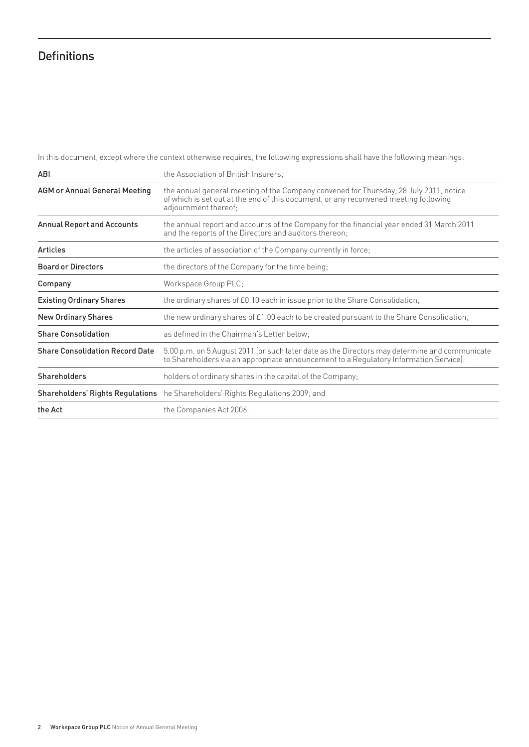# **Definitions**

In this document, except where the context otherwise requires, the following expressions shall have the following meanings:

| ABI                                    | the Association of British Insurers;                                                                                                                                                                  |
|----------------------------------------|-------------------------------------------------------------------------------------------------------------------------------------------------------------------------------------------------------|
| <b>AGM or Annual General Meeting</b>   | the annual general meeting of the Company convened for Thursday, 28 July 2011, notice<br>of which is set out at the end of this document, or any reconvened meeting following<br>adjournment thereof: |
| <b>Annual Report and Accounts</b>      | the annual report and accounts of the Company for the financial year ended 31 March 2011<br>and the reports of the Directors and auditors thereon;                                                    |
| <b>Articles</b>                        | the articles of association of the Company currently in force;                                                                                                                                        |
| <b>Board or Directors</b>              | the directors of the Company for the time being;                                                                                                                                                      |
| Company                                | Workspace Group PLC;                                                                                                                                                                                  |
| <b>Existing Ordinary Shares</b>        | the ordinary shares of £0.10 each in issue prior to the Share Consolidation;                                                                                                                          |
| <b>New Ordinary Shares</b>             | the new ordinary shares of £1.00 each to be created pursuant to the Share Consolidation;                                                                                                              |
| <b>Share Consolidation</b>             | as defined in the Chairman's Letter below:                                                                                                                                                            |
| <b>Share Consolidation Record Date</b> | 5.00 p.m. on 5 August 2011 (or such later date as the Directors may determine and communicate<br>to Shareholders via an appropriate announcement to a Regulatory Information Service);                |
| <b>Shareholders</b>                    | holders of ordinary shares in the capital of the Company;                                                                                                                                             |
|                                        | <b>Shareholders' Rights Regulations</b> he Shareholders' Rights Regulations 2009; and                                                                                                                 |
| the Act                                | the Companies Act 2006.                                                                                                                                                                               |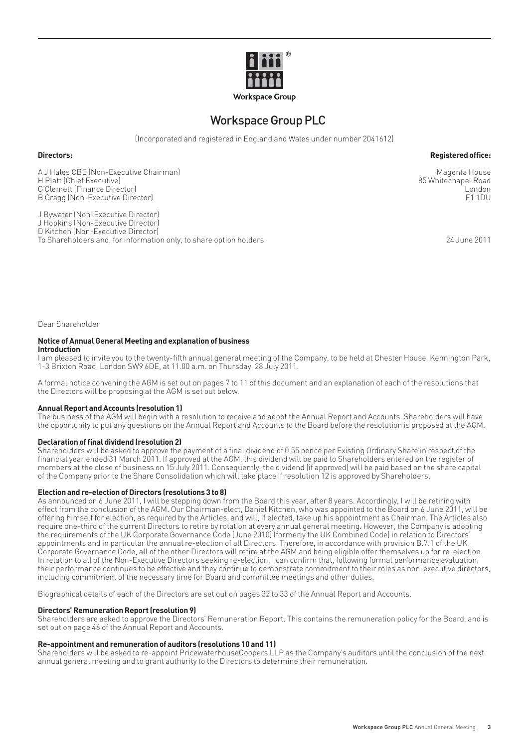

# Workspace Group PLC

(Incorporated and registered in England and Wales under number 2041612)

# **Directors:** Reqistered office:

A J Hales CBE (Non-Executive Chairman) Magenta House H Platt (Chief Executive) 85 Whitechapel Road (September 2012) 85 Whitechapel Road (September 2013) 85 Whitechapel Road (September 2014) 85 Whitechapel Road (September 2014) 85 Whitechapel Road (September 2014) 85 Whitecha G Clemett (Finance Director) **London**<br>B Cragg (Non-Executive Director) **London**<br>B Cragg (Non-Executive Director) **London** B Cragg (Non-Executive Director)

J Bywater (Non-Executive Director) J Hopkins (Non-Executive Director) D Kitchen (Non-Executive Director) To Shareholders and, for information only, to share option holders 24 June 2011

Dear Shareholder

#### **Notice of Annual General Meeting and explanation of business Introduction**

I am pleased to invite you to the twenty-fifth annual general meeting of the Company, to be held at Chester House, Kennington Park, 1-3 Brixton Road, London SW9 6DE, at 11.00 a.m. on Thursday, 28 July 2011.

A formal notice convening the AGM is set out on pages 7 to 11 of this document and an explanation of each of the resolutions that the Directors will be proposing at the AGM is set out below.

### **Annual Report and Accounts (resolution 1)**

The business of the AGM will begin with a resolution to receive and adopt the Annual Report and Accounts. Shareholders will have the opportunity to put any questions on the Annual Report and Accounts to the Board before the resolution is proposed at the AGM.

# **Declaration of final dividend (resolution 2)**

Shareholders will be asked to approve the payment of a final dividend of 0.55 pence per Existing Ordinary Share in respect of the financial year ended 31 March 2011. If approved at the AGM, this dividend will be paid to Shareholders entered on the register of members at the close of business on 15 July 2011. Consequently, the dividend (if approved) will be paid based on the share capital of the Company prior to the Share Consolidation which will take place if resolution 12 is approved by Shareholders.

### **Election and re-election of Directors (resolutions 3 to 8)**

As announced on 6 June 2011, I will be stepping down from the Board this year, after 8 years. Accordingly, I will be retiring with effect from the conclusion of the AGM. Our Chairman-elect, Daniel Kitchen, who was appointed to the Board on 6 June 2011, will be offering himself for election, as required by the Articles, and will, if elected, take up his appointment as Chairman. The Articles also require one-third of the current Directors to retire by rotation at every annual general meeting. However, the Company is adopting the requirements of the UK Corporate Governance Code (June 2010) (formerly the UK Combined Code) in relation to Directors' appointments and in particular the annual re-election of all Directors. Therefore, in accordance with provision B.7.1 of the UK Corporate Governance Code, all of the other Directors will retire at the AGM and being eligible offer themselves up for re-election. In relation to all of the Non-Executive Directors seeking re-election, I can confirm that, following formal performance evaluation, their performance continues to be effective and they continue to demonstrate commitment to their roles as non-executive directors, including commitment of the necessary time for Board and committee meetings and other duties.

Biographical details of each of the Directors are set out on pages 32 to 33 of the Annual Report and Accounts.

# **Directors' Remuneration Report (resolution 9)**

Shareholders are asked to approve the Directors' Remuneration Report. This contains the remuneration policy for the Board, and is set out on page 46 of the Annual Report and Accounts.

# **Re-appointment and remuneration of auditors (resolutions 10 and 11)**

Shareholders will be asked to re-appoint PricewaterhouseCoopers LLP as the Company's auditors until the conclusion of the next annual general meeting and to grant authority to the Directors to determine their remuneration.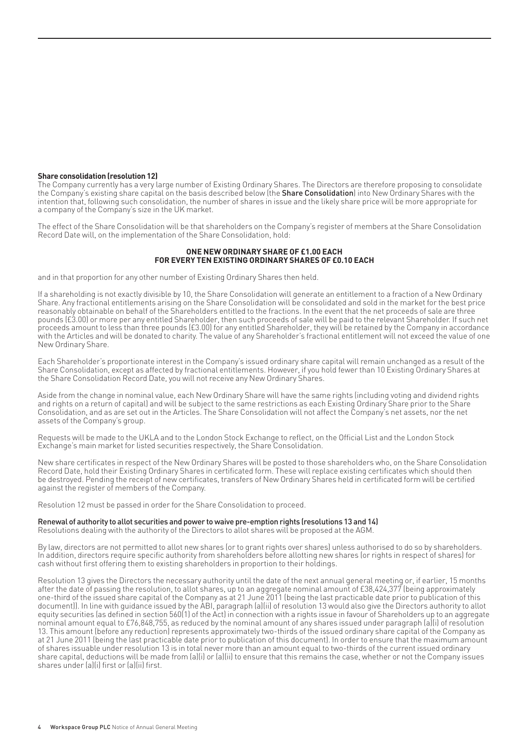#### **Share consolidation (resolution 12)**

The Company currently has a very large number of Existing Ordinary Shares. The Directors are therefore proposing to consolidate the Company's existing share capital on the basis described below (the **Share Consolidation**) into New Ordinary Shares with the intention that, following such consolidation, the number of shares in issue and the likely share price will be more appropriate for a company of the Company's size in the UK market.

The effect of the Share Consolidation will be that shareholders on the Company's register of members at the Share Consolidation Record Date will, on the implementation of the Share Consolidation, hold:

## **ONE NEW ORDINARY SHARE OF £1.00 EACH FOR EVERY TEN EXISTING ORDINARY SHARES OF £0.10 EACH**

and in that proportion for any other number of Existing Ordinary Shares then held.

If a shareholding is not exactly divisible by 10, the Share Consolidation will generate an entitlement to a fraction of a New Ordinary Share. Any fractional entitlements arising on the Share Consolidation will be consolidated and sold in the market for the best price reasonably obtainable on behalf of the Shareholders entitled to the fractions. In the event that the net proceeds of sale are three pounds (£3.00) or more per any entitled Shareholder, then such proceeds of sale will be paid to the relevant Shareholder. If such net proceeds amount to less than three pounds (£3.00) for any entitled Shareholder, they will be retained by the Company in accordance with the Articles and will be donated to charity. The value of any Shareholder's fractional entitlement will not exceed the value of one New Ordinary Share.

Each Shareholder's proportionate interest in the Company's issued ordinary share capital will remain unchanged as a result of the Share Consolidation, except as affected by fractional entitlements. However, if you hold fewer than 10 Existing Ordinary Shares at the Share Consolidation Record Date, you will not receive any New Ordinary Shares.

Aside from the change in nominal value, each New Ordinary Share will have the same rights (including voting and dividend rights and rights on a return of capital) and will be subject to the same restrictions as each Existing Ordinary Share prior to the Share Consolidation, and as are set out in the Articles. The Share Consolidation will not affect the Company's net assets, nor the net assets of the Company's group.

Requests will be made to the UKLA and to the London Stock Exchange to reflect, on the Official List and the London Stock Exchange's main market for listed securities respectively, the Share Consolidation.

New share certificates in respect of the New Ordinary Shares will be posted to those shareholders who, on the Share Consolidation Record Date, hold their Existing Ordinary Shares in certificated form. These will replace existing certificates which should then be destroyed. Pending the receipt of new certificates, transfers of New Ordinary Shares held in certificated form will be certified against the register of members of the Company.

Resolution 12 must be passed in order for the Share Consolidation to proceed.

#### Renewal of authority to allot securities and power to waive pre-emption rights (resolutions 13 and 14)

Resolutions dealing with the authority of the Directors to allot shares will be proposed at the AGM.

By law, directors are not permitted to allot new shares (or to grant rights over shares) unless authorised to do so by shareholders. In addition, directors require specific authority from shareholders before allotting new shares (or rights in respect of shares) for cash without first offering them to existing shareholders in proportion to their holdings.

Resolution 13 gives the Directors the necessary authority until the date of the next annual general meeting or, if earlier, 15 months after the date of passing the resolution, to allot shares, up to an aggregate nominal amount of £38,424,377 (being approximately one-third of the issued share capital of the Company as at 21 June 2011 (being the last practicable date prior to publication of this document)). In line with guidance issued by the ABI, paragraph (a)(ii) of resolution 13 would also give the Directors authority to allot equity securities (as defined in section 560(1) of the Act) in connection with a rights issue in favour of Shareholders up to an aggregate nominal amount equal to £76,848,755, as reduced by the nominal amount of any shares issued under paragraph (a)(i) of resolution 13. This amount (before any reduction) represents approximately two-thirds of the issued ordinary share capital of the Company as at 21 June 2011 (being the last practicable date prior to publication of this document). In order to ensure that the maximum amount of shares issuable under resolution 13 is in total never more than an amount equal to two-thirds of the current issued ordinary share capital, deductions will be made from (a)(i) or (a)(ii) to ensure that this remains the case, whether or not the Company issues shares under (a)(i) first or (a)(ii) first.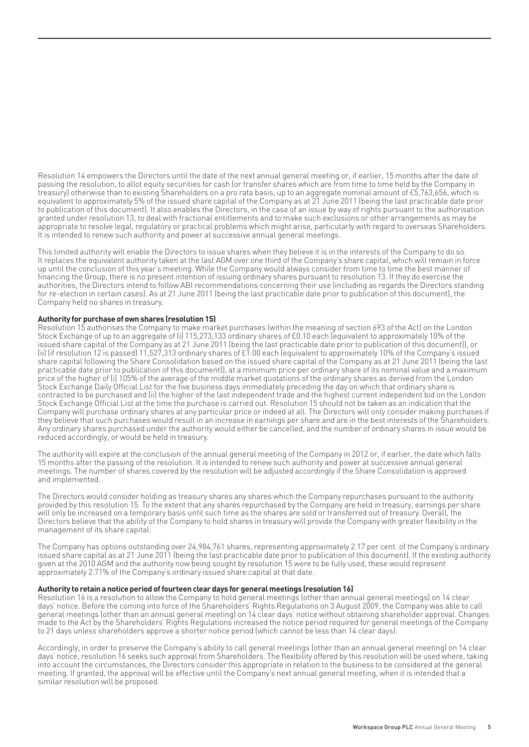Resolution 14 empowers the Directors until the date of the next annual general meeting or, if earlier, 15 months after the date of passing the resolution, to allot equity securities for cash (or transfer shares which are from time to time held by the Company in treasury) otherwise than to existing Shareholders on a pro rata basis, up to an aggregate nominal amount of £5,763,656, which is equivalent to approximately 5% of the issued share capital of the Company as at 21 June 2011 (being the last practicable date prior to publication of this document). It also enables the Directors, in the case of an issue by way of rights pursuant to the authorisation granted under resolution 13, to deal with fractional entitlements and to make such exclusions or other arrangements as may be appropriate to resolve legal, regulatory or practical problems which might arise, particularly with regard to overseas Shareholders. It is intended to renew such authority and power at successive annual general meetings.

This limited authority will enable the Directors to issue shares when they believe it is in the interests of the Company to do so. It replaces the equivalent authority taken at the last AGM over one third of the Company's share capital, which will remain in force up until the conclusion of this year's meeting. While the Company would always consider from time to time the best manner of financing the Group, there is no present intention of issuing ordinary shares pursuant to resolution 13. If they do exercise the authorities, the Directors intend to follow ABI recommendations concerning their use (including as regards the Directors standing for re-election in certain cases). As at 21 June 2011 (being the last practicable date prior to publication of this document), the Company held no shares in treasury.

# **Authority for purchase of own shares (resolution 15)**

Resolution 15 authorises the Company to make market purchases (within the meaning of section 693 of the Act) on the London Stock Exchange of up to an aggregate of (i) 115,273,133 ordinary shares of £0.10 each (equivalent to approximately 10% of the issued share capital of the Company as at 21 June 2011 (being the last practicable date prior to publication of this document)), or (ii) (if resolution 12 is passed) 11,527,313 ordinary shares of £1.00 each (equivalent to approximately 10% of the Company's issued share capital following the Share Consolidation based on the issued share capital of the Company as at 21 June 2011 (being the last practicable date prior to publication of this document)), at a minimum price per ordinary share of its nominal value and a maximum price of the higher of (i) 105% of the average of the middle market quotations of the ordinary shares as derived from the London Stock Exchange Daily Official List for the five business days immediately preceding the day on which that ordinary share is contracted to be purchased and (ii) the higher of the last independent trade and the highest current independent bid on the London Stock Exchange Official List at the time the purchase is carried out. Resolution 15 should not be taken as an indication that the Company will purchase ordinary shares at any particular price or indeed at all. The Directors will only consider making purchases if they believe that such purchases would result in an increase in earnings per share and are in the best interests of the Shareholders. Any ordinary shares purchased under the authority would either be cancelled, and the number of ordinary shares in issue would be reduced accordingly, or would be held in treasury.

The authority will expire at the conclusion of the annual general meeting of the Company in 2012 or, if earlier, the date which falls 15 months after the passing of the resolution. It is intended to renew such authority and power at successive annual general meetings. The number of shares covered by the resolution will be adjusted accordingly if the Share Consolidation is approved and implemented.

The Directors would consider holding as treasury shares any shares which the Company repurchases pursuant to the authority provided by this resolution 15. To the extent that any shares repurchased by the Company are held in treasury, earnings per share will only be increased on a temporary basis until such time as the shares are sold or transferred out of treasury. Overall, the Directors believe that the ability of the Company to hold shares in treasury will provide the Company with greater flexibility in the management of its share capital.

The Company has options outstanding over 24,984,761 shares, representing approximately 2.17 per cent. of the Company's ordinary issued share capital as at 21 June 2011 (being the last practicable date prior to publication of this document). If the existing authority given at the 2010 AGM and the authority now being sought by resolution 15 were to be fully used, these would represent approximately 2.71% of the Company's ordinary issued share capital at that date.

### **Authority to retain a notice period of fourteen clear days for general meetings (resolution 16)**

Resolution 16 is a resolution to allow the Company to hold general meetings (other than annual general meetings) on 14 clear days' notice. Before the coming into force of the Shareholders' Rights Regulations on 3 August 2009, the Company was able to call general meetings (other than an annual general meeting) on 14 clear days' notice without obtaining shareholder approval. Changes made to the Act by the Shareholders' Rights Regulations increased the notice period required for general meetings of the Company to 21 days unless shareholders approve a shorter notice period (which cannot be less than 14 clear days).

Accordingly, in order to preserve the Company's ability to call general meetings (other than an annual general meeting) on 14 clear days' notice, resolution 16 seeks such approval from Shareholders. The flexibility offered by this resolution will be used where, taking into account the circumstances, the Directors consider this appropriate in relation to the business to be considered at the general meeting. If granted, the approval will be effective until the Company's next annual general meeting, when it is intended that a similar resolution will be proposed.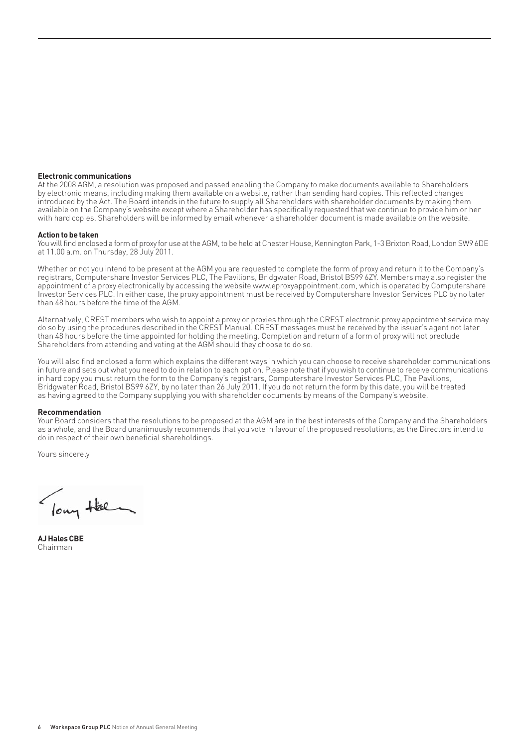#### **Electronic communications**

At the 2008 AGM, a resolution was proposed and passed enabling the Company to make documents available to Shareholders by electronic means, including making them available on a website, rather than sending hard copies. This reflected changes introduced by the Act. The Board intends in the future to supply all Shareholders with shareholder documents by making them available on the Company's website except where a Shareholder has specifically requested that we continue to provide him or her with hard copies. Shareholders will be informed by email whenever a shareholder document is made available on the website.

#### **Action to be taken**

You will find enclosed a form of proxy for use at the AGM, to be held at Chester House, Kennington Park, 1-3 Brixton Road, London SW9 6DE at 11.00 a.m. on Thursday, 28 July 2011.

Whether or not you intend to be present at the AGM you are requested to complete the form of proxy and return it to the Company's registrars, Computershare Investor Services PLC, The Pavilions, Bridgwater Road, Bristol BS99 6ZY. Members may also register the appointment of a proxy electronically by accessing the website www.eproxyappointment.com, which is operated by Computershare Investor Services PLC. In either case, the proxy appointment must be received by Computershare Investor Services PLC by no later than 48 hours before the time of the AGM.

Alternatively, CREST members who wish to appoint a proxy or proxies through the CREST electronic proxy appointment service may do so by using the procedures described in the CREST Manual. CREST messages must be received by the issuer's agent not later than 48 hours before the time appointed for holding the meeting. Completion and return of a form of proxy will not preclude Shareholders from attending and voting at the AGM should they choose to do so.

You will also find enclosed a form which explains the different ways in which you can choose to receive shareholder communications in future and sets out what you need to do in relation to each option. Please note that if you wish to continue to receive communications in hard copy you must return the form to the Company's registrars, Computershare Investor Services PLC, The Pavilions, Bridgwater Road, Bristol BS99 6ZY, by no later than 26 July 2011. If you do not return the form by this date, you will be treated as having agreed to the Company supplying you with shareholder documents by means of the Company's website.

#### **Recommendation**

Your Board considers that the resolutions to be proposed at the AGM are in the best interests of the Company and the Shareholders as a whole, and the Board unanimously recommends that you vote in favour of the proposed resolutions, as the Directors intend to do in respect of their own beneficial shareholdings.

Yours sincerely

lowy Hel

**AJ Hales CBE** Chairman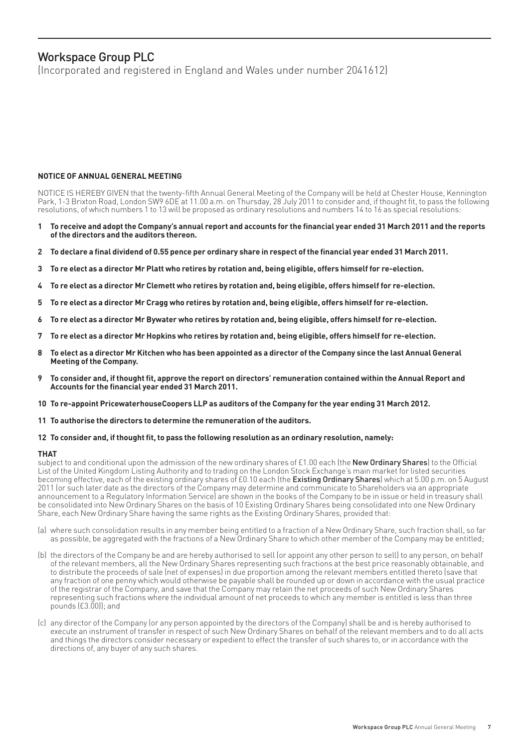# Workspace Group PLC

(Incorporated and registered in England and Wales under number 2041612)

# **NOTICE OF ANNUAL GENERAL MEETING**

NOTICE IS HEREBY GIVEN that the twenty-fifth Annual General Meeting of the Company will be held at Chester House, Kennington Park, 1-3 Brixton Road, London SW9 6DE at 11.00 a.m. on Thursday, 28 July 2011 to consider and, if thought fit, to pass the following resolutions, of which numbers 1 to 13 will be proposed as ordinary resolutions and numbers 14 to 16 as special resolutions:

- To receive and adopt the Company's annual report and accounts for the financial year ended 31 March 2011 and the reports **of the directors and the auditors thereon.**
- 2 To declare a final dividend of 0.55 pence per ordinary share in respect of the financial year ended 31 March 2011.
- **3 To re elect as a director Mr Platt who retires by rotation and, being eligible, offers himself for re-election.**
- **4 To re elect as a director Mr Clemett who retires by rotation and, being eligible, offers himself for re-election.**
- **5 To re elect as a director Mr Cragg who retires by rotation and, being eligible, offers himself for re-election.**
- **6 To re elect as a director Mr Bywater who retires by rotation and, being eligible, offers himself for re-election.**
- **7 To re elect as a director Mr Hopkins who retires by rotation and, being eligible, offers himself for re-election.**
- **8 To elect as a director Mr Kitchen who has been appointed as a director of the Company since the last Annual General Meeting of the Company.**
- To consider and, if thought fit, approve the report on directors' remuneration contained within the Annual Report and Accounts for the financial year ended 31 March 2011.
- **10 To re-appoint PricewaterhouseCoopers LLP as auditors of the Company for the year ending 31 March 2012.**
- **11 To authorise the directors to determine the remuneration of the auditors.**

### 12 To consider and, if thought fit, to pass the following resolution as an ordinary resolution, namely:

### **THAT**

subject to and conditional upon the admission of the new ordinary shares of £1.00 each (the **New Ordinary Shares**) to the Official List of the United Kingdom Listing Authority and to trading on the London Stock Exchange's main market for listed securities becoming effective, each of the existing ordinary shares of £0.10 each (the Existing Ordinary Shares) which at 5.00 p.m. on 5 August 2011 (or such later date as the directors of the Company may determine and communicate to Shareholders via an appropriate announcement to a Regulatory Information Service) are shown in the books of the Company to be in issue or held in treasury shall be consolidated into New Ordinary Shares on the basis of 10 Existing Ordinary Shares being consolidated into one New Ordinary Share, each New Ordinary Share having the same rights as the Existing Ordinary Shares, provided that:

- (a) where such consolidation results in any member being entitled to a fraction of a New Ordinary Share, such fraction shall, so far as possible, be aggregated with the fractions of a New Ordinary Share to which other member of the Company may be entitled;
- (b) the directors of the Company be and are hereby authorised to sell (or appoint any other person to sell) to any person, on behalf of the relevant members, all the New Ordinary Shares representing such fractions at the best price reasonably obtainable, and to distribute the proceeds of sale (net of expenses) in due proportion among the relevant members entitled thereto (save that any fraction of one penny which would otherwise be payable shall be rounded up or down in accordance with the usual practice of the registrar of the Company, and save that the Company may retain the net proceeds of such New Ordinary Shares representing such fractions where the individual amount of net proceeds to which any member is entitled is less than three pounds (£3.00)); and
- (c) any director of the Company (or any person appointed by the directors of the Company) shall be and is hereby authorised to execute an instrument of transfer in respect of such New Ordinary Shares on behalf of the relevant members and to do all acts and things the directors consider necessary or expedient to effect the transfer of such shares to, or in accordance with the directions of, any buyer of any such shares.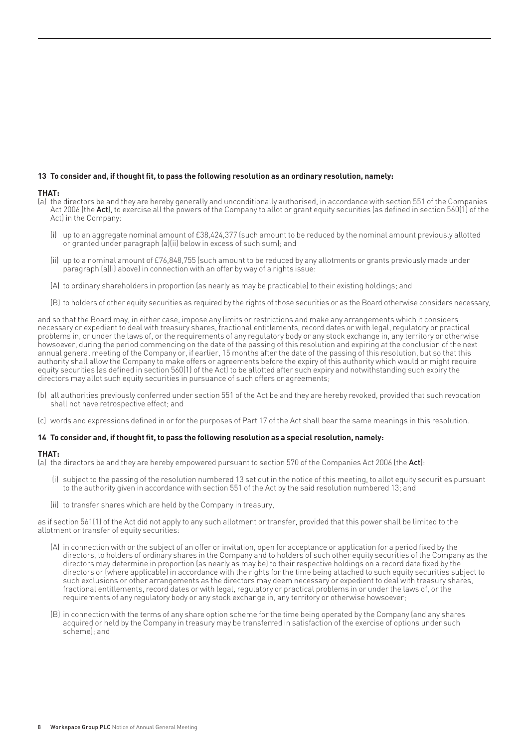# 13 To consider and, if thought fit, to pass the following resolution as an ordinary resolution, namely:

# **THAT:**

- (a) the directors be and they are hereby generally and unconditionally authorised, in accordance with section 551 of the Companies Act 2006 (the Act), to exercise all the powers of the Company to allot or grant equity securities (as defined in section 560(1) of the Act) in the Company:
	- (i) up to an aggregate nominal amount of £38,424,377 (such amount to be reduced by the nominal amount previously allotted or granted under paragraph (a)(ii) below in excess of such sum); and
	- (ii) up to a nominal amount of £76,848,755 (such amount to be reduced by any allotments or grants previously made under paragraph (a)(i) above) in connection with an offer by way of a rights issue:
	- (A) to ordinary shareholders in proportion (as nearly as may be practicable) to their existing holdings; and
	- (B) to holders of other equity securities as required by the rights of those securities or as the Board otherwise considers necessary,

and so that the Board may, in either case, impose any limits or restrictions and make any arrangements which it considers necessary or expedient to deal with treasury shares, fractional entitlements, record dates or with legal, regulatory or practical problems in, or under the laws of, or the requirements of any regulatory body or any stock exchange in, any territory or otherwise howsoever, during the period commencing on the date of the passing of this resolution and expiring at the conclusion of the next annual general meeting of the Company or, if earlier, 15 months after the date of the passing of this resolution, but so that this authority shall allow the Company to make offers or agreements before the expiry of this authority which would or might require equity securities (as defined in section 560(1) of the Act) to be allotted after such expiry and notwithstanding such expiry the directors may allot such equity securities in pursuance of such offers or agreements;

- (b) all authorities previously conferred under section 551 of the Act be and they are hereby revoked, provided that such revocation shall not have retrospective effect; and
- (c) words and expressions defined in or for the purposes of Part 17 of the Act shall bear the same meanings in this resolution.

# 14 To consider and, if thought fit, to pass the following resolution as a special resolution, namely:

### **THAT:**

(a) the directors be and they are hereby empowered pursuant to section 570 of the Companies Act 2006 (the Act):

- (i) subject to the passing of the resolution numbered 13 set out in the notice of this meeting, to allot equity securities pursuant to the authority given in accordance with section 551 of the Act by the said resolution numbered 13; and
- (ii) to transfer shares which are held by the Company in treasury,

as if section 561(1) of the Act did not apply to any such allotment or transfer, provided that this power shall be limited to the allotment or transfer of equity securities:

- (A) in connection with or the subject of an offer or invitation, open for acceptance or application for a period fixed by the directors, to holders of ordinary shares in the Company and to holders of such other equity securities of the Company as the directors may determine in proportion (as nearly as may be) to their respective holdings on a record date fixed by the directors or (where applicable) in accordance with the rights for the time being attached to such equity securities subject to such exclusions or other arrangements as the directors may deem necessary or expedient to deal with treasury shares, fractional entitlements, record dates or with legal, regulatory or practical problems in or under the laws of, or the requirements of any regulatory body or any stock exchange in, any territory or otherwise howsoever;
- (B) in connection with the terms of any share option scheme for the time being operated by the Company (and any shares acquired or held by the Company in treasury may be transferred in satisfaction of the exercise of options under such scheme); and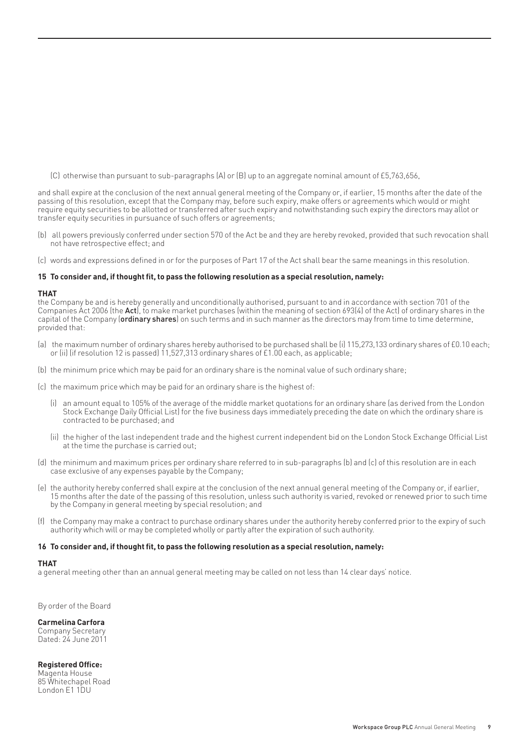(C) otherwise than pursuant to sub-paragraphs (A) or (B) up to an aggregate nominal amount of £5,763,656,

and shall expire at the conclusion of the next annual general meeting of the Company or, if earlier, 15 months after the date of the passing of this resolution, except that the Company may, before such expiry, make offers or agreements which would or might require equity securities to be allotted or transferred after such expiry and notwithstanding such expiry the directors may allot or transfer equity securities in pursuance of such offers or agreements;

- (b) all powers previously conferred under section 570 of the Act be and they are hereby revoked, provided that such revocation shall not have retrospective effect; and
- (c) words and expressions defined in or for the purposes of Part 17 of the Act shall bear the same meanings in this resolution.

#### 15 To consider and, if thought fit, to pass the following resolution as a special resolution, namely:

# **THAT**

the Company be and is hereby generally and unconditionally authorised, pursuant to and in accordance with section 701 of the Companies Act 2006 (the **Act)**, to make market purchases (within the meaning of section 693(4) of the Act) of ordinary shares in the capital of the Company (ordinary shares) on such terms and in such manner as the directors may from time to time determine, provided that:

- (a) the maximum number of ordinary shares hereby authorised to be purchased shall be (i) 115,273,133 ordinary shares of £0.10 each; or (ii) (if resolution 12 is passed) 11,527,313 ordinary shares of £1.00 each, as applicable;
- (b) the minimum price which may be paid for an ordinary share is the nominal value of such ordinary share;
- (c) the maximum price which may be paid for an ordinary share is the highest of:
	- (i) an amount equal to 105% of the average of the middle market quotations for an ordinary share (as derived from the London Stock Exchange Daily Official List) for the five business days immediately preceding the date on which the ordinary share is contracted to be purchased; and
	- (ii) the higher of the last independent trade and the highest current independent bid on the London Stock Exchange Official List at the time the purchase is carried out;
- (d) the minimum and maximum prices per ordinary share referred to in sub-paragraphs (b) and (c) of this resolution are in each case exclusive of any expenses payable by the Company;
- (e) the authority hereby conferred shall expire at the conclusion of the next annual general meeting of the Company or, if earlier, 15 months after the date of the passing of this resolution, unless such authority is varied, revoked or renewed prior to such time by the Company in general meeting by special resolution; and
- (f) the Company may make a contract to purchase ordinary shares under the authority hereby conferred prior to the expiry of such authority which will or may be completed wholly or partly after the expiration of such authority.

#### 16 To consider and, if thought fit, to pass the following resolution as a special resolution, namely:

# **THAT**

a general meeting other than an annual general meeting may be called on not less than 14 clear days' notice.

By order of the Board

# **Carmelina Carfora**

Company Secretary Dated: 24 June 2011

# **Registered Office:**

Magenta House 85 Whitechapel Road London E1 1DU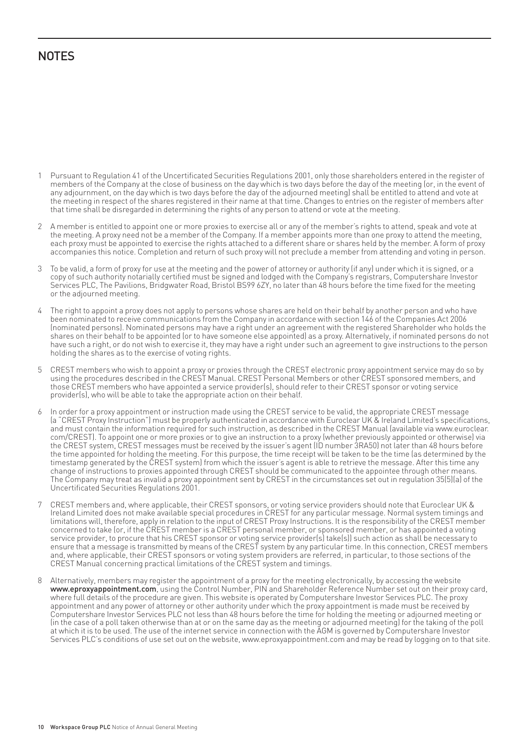# **NOTES**

- 1 Pursuant to Regulation 41 of the Uncertificated Securities Regulations 2001, only those shareholders entered in the register of members of the Company at the close of business on the day which is two days before the day of the meeting (or, in the event of any adjournment, on the day which is two days before the day of the adjourned meeting) shall be entitled to attend and vote at the meeting in respect of the shares registered in their name at that time. Changes to entries on the register of members after that time shall be disregarded in determining the rights of any person to attend or vote at the meeting.
- 2 A member is entitled to appoint one or more proxies to exercise all or any of the member's rights to attend, speak and vote at the meeting. A proxy need not be a member of the Company. If a member appoints more than one proxy to attend the meeting, each proxy must be appointed to exercise the rights attached to a different share or shares held by the member. A form of proxy accompanies this notice. Completion and return of such proxy will not preclude a member from attending and voting in person.
- 3 To be valid, a form of proxy for use at the meeting and the power of attorney or authority (if any) under which it is signed, or a copy of such authority notarially certified must be signed and lodged with the Company's registrars, Computershare Investor Services PLC, The Pavilions, Bridgwater Road, Bristol BS99 6ZY, no later than 48 hours before the time fixed for the meeting or the adjourned meeting.
- 4 The right to appoint a proxy does not apply to persons whose shares are held on their behalf by another person and who have been nominated to receive communications from the Company in accordance with section 146 of the Companies Act 2006 (nominated persons). Nominated persons may have a right under an agreement with the registered Shareholder who holds the shares on their behalf to be appointed (or to have someone else appointed) as a proxy. Alternatively, if nominated persons do not have such a right, or do not wish to exercise it, they may have a right under such an agreement to give instructions to the person holding the shares as to the exercise of voting rights.
- 5 CREST members who wish to appoint a proxy or proxies through the CREST electronic proxy appointment service may do so by using the procedures described in the CREST Manual. CREST Personal Members or other CREST sponsored members, and those CREST members who have appointed a service provider(s), should refer to their CREST sponsor or voting service provider(s), who will be able to take the appropriate action on their behalf.
- 6 In order for a proxy appointment or instruction made using the CREST service to be valid, the appropriate CREST message (a "CREST Proxy Instruction") must be properly authenticated in accordance with Euroclear UK & Ireland Limited's specifi cations, and must contain the information required for such instruction, as described in the CREST Manual (available via www.euroclear. com/CREST). To appoint one or more proxies or to give an instruction to a proxy (whether previously appointed or otherwise) via the CREST system, CREST messages must be received by the issuer's agent (ID number 3RA50) not later than 48 hours before the time appointed for holding the meeting. For this purpose, the time receipt will be taken to be the time (as determined by the timestamp generated by the CREST system) from which the issuer's agent is able to retrieve the message. After this time any change of instructions to proxies appointed through CREST should be communicated to the appointee through other means. The Company may treat as invalid a proxy appointment sent by CREST in the circumstances set out in regulation 35(5)(a) of the Uncertificated Securities Regulations 2001.
- 7 CREST members and, where applicable, their CREST sponsors, or voting service providers should note that Euroclear UK & Ireland Limited does not make available special procedures in CREST for any particular message. Normal system timings and limitations will, therefore, apply in relation to the input of CREST Proxy Instructions. It is the responsibility of the CREST member concerned to take (or, if the CREST member is a CREST personal member, or sponsored member, or has appointed a voting service provider, to procure that his CREST sponsor or voting service provider(s) take(s)) such action as shall be necessary to ensure that a message is transmitted by means of the CREST system by any particular time. In this connection, CREST members and, where applicable, their CREST sponsors or voting system providers are referred, in particular, to those sections of the CREST Manual concerning practical limitations of the CREST system and timings.
- 8 Alternatively, members may register the appointment of a proxy for the meeting electronically, by accessing the website www.eproxyappointment.com, using the Control Number, PIN and Shareholder Reference Number set out on their proxy card, where full details of the procedure are given. This website is operated by Computershare Investor Services PLC. The proxy appointment and any power of attorney or other authority under which the proxy appointment is made must be received by Computershare Investor Services PLC not less than 48 hours before the time for holding the meeting or adjourned meeting or (in the case of a poll taken otherwise than at or on the same day as the meeting or adjourned meeting) for the taking of the poll at which it is to be used. The use of the internet service in connection with the AGM is governed by Computershare Investor Services PLC's conditions of use set out on the website, www.eproxyappointment.com and may be read by logging on to that site.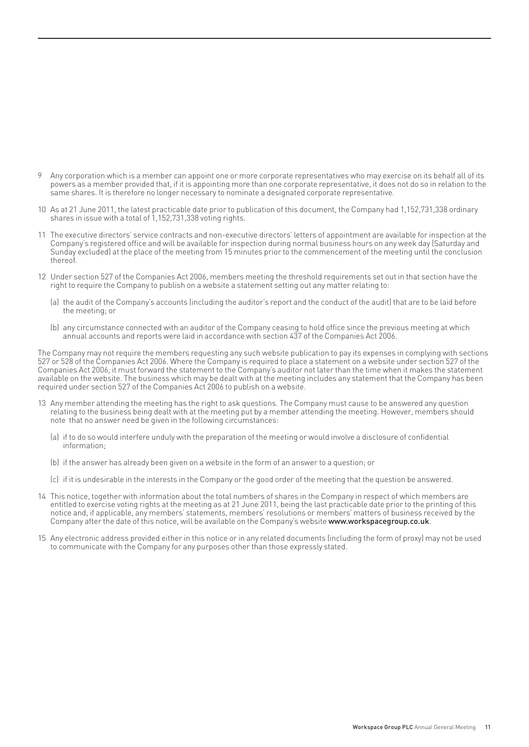- 9 Any corporation which is a member can appoint one or more corporate representatives who may exercise on its behalf all of its powers as a member provided that, if it is appointing more than one corporate representative, it does not do so in relation to the same shares. It is therefore no longer necessary to nominate a designated corporate representative.
- 10 As at 21 June 2011, the latest practicable date prior to publication of this document, the Company had 1,152,731,338 ordinary shares in issue with a total of 1,152,731,338 voting rights.
- 11 The executive directors' service contracts and non-executive directors' letters of appointment are available for inspection at the Company's registered office and will be available for inspection during normal business hours on any week day (Saturday and Sunday excluded) at the place of the meeting from 15 minutes prior to the commencement of the meeting until the conclusion thereof.
- 12 Under section 527 of the Companies Act 2006, members meeting the threshold requirements set out in that section have the right to require the Company to publish on a website a statement setting out any matter relating to:
	- (a) the audit of the Company's accounts (including the auditor's report and the conduct of the audit) that are to be laid before the meeting; or
	- (b) any circumstance connected with an auditor of the Company ceasing to hold office since the previous meeting at which annual accounts and reports were laid in accordance with section 437 of the Companies Act 2006.

The Company may not require the members requesting any such website publication to pay its expenses in complying with sections 527 or 528 of the Companies Act 2006. Where the Company is required to place a statement on a website under section 527 of the Companies Act 2006, it must forward the statement to the Company's auditor not later than the time when it makes the statement available on the website. The business which may be dealt with at the meeting includes any statement that the Company has been required under section 527 of the Companies Act 2006 to publish on a website.

- 13 Any member attending the meeting has the right to ask questions. The Company must cause to be answered any question relating to the business being dealt with at the meeting put by a member attending the meeting. However, members should note that no answer need be given in the following circumstances:
	- (a) if to do so would interfere unduly with the preparation of the meeting or would involve a disclosure of confidential information;
	- (b) if the answer has already been given on a website in the form of an answer to a question; or
	- (c) if it is undesirable in the interests in the Company or the good order of the meeting that the question be answered.
- 14 This notice, together with information about the total numbers of shares in the Company in respect of which members are entitled to exercise voting rights at the meeting as at 21 June 2011, being the last practicable date prior to the printing of this notice and, if applicable, any members' statements, members' resolutions or members' matters of business received by the Company after the date of this notice, will be available on the Company's website **www.workspacegroup.co.uk**.
- 15 Any electronic address provided either in this notice or in any related documents (including the form of proxy) may not be used to communicate with the Company for any purposes other than those expressly stated.